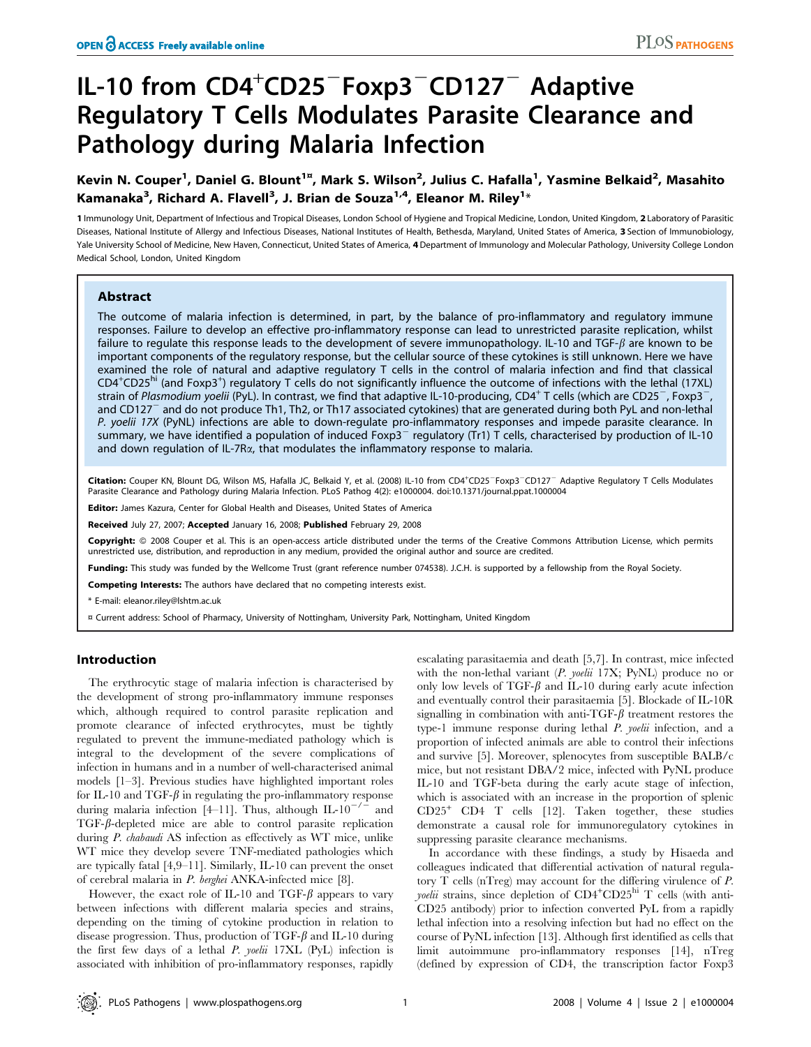# IL-10 from CD4<sup>+</sup>CD25<sup>-</sup>Foxp3<sup>-</sup>CD127<sup>-</sup> Adaptive Regulatory T Cells Modulates Parasite Clearance and Pathology during Malaria Infection

Kevin N. Couper<sup>1</sup>, Daniel G. Blount<sup>1¤</sup>, Mark S. Wilson<sup>2</sup>, Julius C. Hafalla<sup>1</sup>, Yasmine Belkaid<sup>2</sup>, Masahito Kamanaka $^3$ , Richard A. Flavell $^3$ , J. Brian de Souza $^{1,4}$ , Eleanor M. Riley $^{1_\times}$ 

1 Immunology Unit, Department of Infectious and Tropical Diseases, London School of Hygiene and Tropical Medicine, London, United Kingdom, 2 Laboratory of Parasitic Diseases, National Institute of Allergy and Infectious Diseases, National Institutes of Health, Bethesda, Maryland, United States of America, 3 Section of Immunobiology, Yale University School of Medicine, New Haven, Connecticut, United States of America, 4 Department of Immunology and Molecular Pathology, University College London Medical School, London, United Kingdom

## Abstract

The outcome of malaria infection is determined, in part, by the balance of pro-inflammatory and regulatory immune responses. Failure to develop an effective pro-inflammatory response can lead to unrestricted parasite replication, whilst failure to regulate this response leads to the development of severe immunopathology. IL-10 and TGF- $\beta$  are known to be important components of the regulatory response, but the cellular source of these cytokines is still unknown. Here we have examined the role of natural and adaptive regulatory T cells in the control of malaria infection and find that classical CD4<sup>+</sup>CD25<sup>hi</sup> (and Foxp3<sup>+</sup>) regulatory T cells do not significantly influence the outcome of infections with the lethal (17XL) strain of Plasmodium yoelii (PyL). In contrast, we find that adaptive IL-10-producing, CD4<sup>+</sup> T cells (which are CD25<sup>-</sup>, Foxp3<sup>-</sup> and CD127<sup>-</sup> and do not produce Th1, Th2, or Th17 associated cytokines) that are generated during both PyL and non-lethal P. yoelii 17X (PyNL) infections are able to down-regulate pro-inflammatory responses and impede parasite clearance. In summary, we have identified a population of induced Foxp3<sup>-</sup> regulatory (Tr1) T cells, characterised by production of IL-10 and down regulation of IL-7R $\alpha$ , that modulates the inflammatory response to malaria.

Citation: Couper KN, Blount DG, Wilson MS, Hafalla JC, Belkaid Y, et al. (2008) IL-10 from CD4<sup>+</sup>CD25<sup>-</sup>Foxp3<sup>-</sup>CD127<sup>-</sup> Adaptive Regulatory T Cells Modulates Parasite Clearance and Pathology during Malaria Infection. PLoS Pathog 4(2): e1000004. doi:10.1371/journal.ppat.1000004

Editor: James Kazura, Center for Global Health and Diseases, United States of America

Received July 27, 2007; Accepted January 16, 2008; Published February 29, 2008

Copyright: @ 2008 Couper et al. This is an open-access article distributed under the terms of the Creative Commons Attribution License, which permits unrestricted use, distribution, and reproduction in any medium, provided the original author and source are credited.

Funding: This study was funded by the Wellcome Trust (grant reference number 074538). J.C.H. is supported by a fellowship from the Royal Society.

Competing Interests: The authors have declared that no competing interests exist.

\* E-mail: eleanor.riley@lshtm.ac.uk

¤ Current address: School of Pharmacy, University of Nottingham, University Park, Nottingham, United Kingdom

## Introduction

The erythrocytic stage of malaria infection is characterised by the development of strong pro-inflammatory immune responses which, although required to control parasite replication and promote clearance of infected erythrocytes, must be tightly regulated to prevent the immune-mediated pathology which is integral to the development of the severe complications of infection in humans and in a number of well-characterised animal models [1–3]. Previous studies have highlighted important roles for IL-10 and TGF- $\beta$  in regulating the pro-inflammatory response during malaria infection [4–11]. Thus, although IL-10<sup>-/-</sup> and  $TGF-\beta$ -depleted mice are able to control parasite replication during P. chabaudi AS infection as effectively as WT mice, unlike WT mice they develop severe TNF-mediated pathologies which are typically fatal [4,9–11]. Similarly, IL-10 can prevent the onset of cerebral malaria in P. berghei ANKA-infected mice [8].

However, the exact role of IL-10 and TGF- $\beta$  appears to vary between infections with different malaria species and strains, depending on the timing of cytokine production in relation to disease progression. Thus, production of TGF- $\beta$  and IL-10 during the first few days of a lethal P. yoelii 17XL (PyL) infection is associated with inhibition of pro-inflammatory responses, rapidly escalating parasitaemia and death [5,7]. In contrast, mice infected with the non-lethal variant (P. yoelii 17X; PyNL) produce no or only low levels of TGF- $\beta$  and IL-10 during early acute infection and eventually control their parasitaemia [5]. Blockade of IL-10R signalling in combination with anti-TGF- $\beta$  treatment restores the type-1 immune response during lethal P. yoelii infection, and a proportion of infected animals are able to control their infections and survive [5]. Moreover, splenocytes from susceptible BALB/c mice, but not resistant DBA/2 mice, infected with PyNL produce IL-10 and TGF-beta during the early acute stage of infection, which is associated with an increase in the proportion of splenic  $CD25<sup>+</sup>$  CD4 T cells [12]. Taken together, these studies demonstrate a causal role for immunoregulatory cytokines in suppressing parasite clearance mechanisms.

In accordance with these findings, a study by Hisaeda and colleagues indicated that differential activation of natural regulatory T cells (nTreg) may account for the differing virulence of P. yoelii strains, since depletion of CD4<sup>+</sup>CD25<sup>hi</sup> T cells (with anti-CD25 antibody) prior to infection converted PyL from a rapidly lethal infection into a resolving infection but had no effect on the course of PyNL infection [13]. Although first identified as cells that limit autoimmune pro-inflammatory responses [14], nTreg (defined by expression of CD4, the transcription factor Foxp3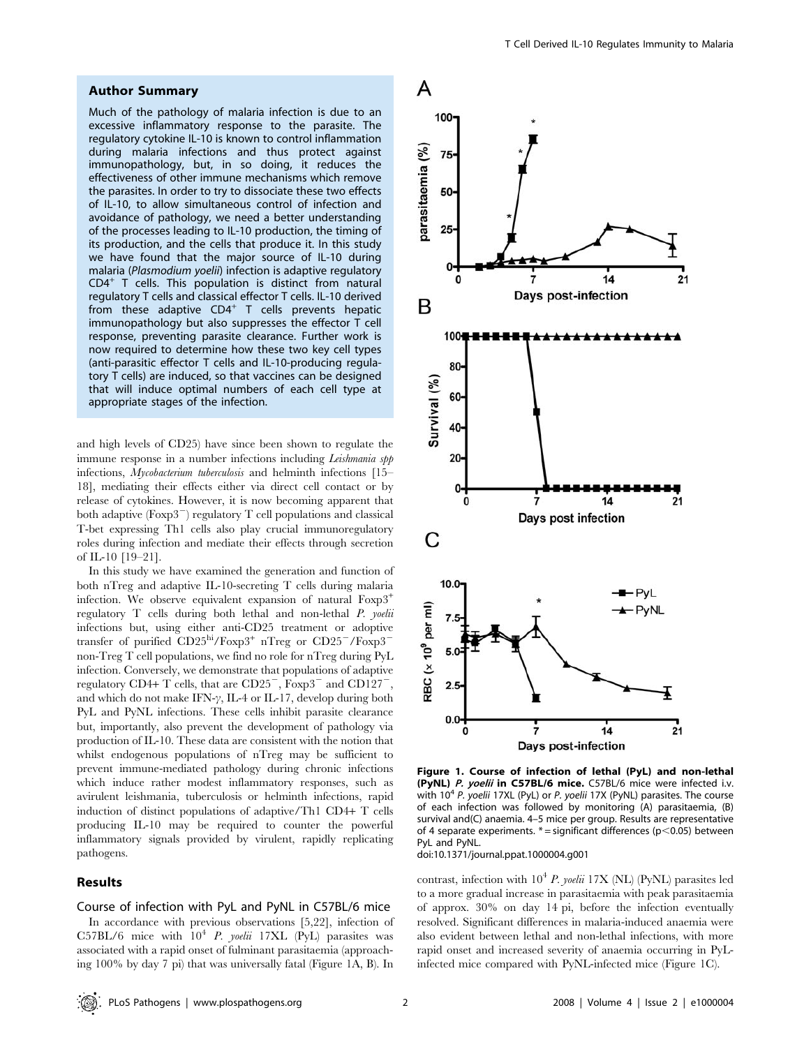## Author Summary

Much of the pathology of malaria infection is due to an excessive inflammatory response to the parasite. The regulatory cytokine IL-10 is known to control inflammation during malaria infections and thus protect against immunopathology, but, in so doing, it reduces the effectiveness of other immune mechanisms which remove the parasites. In order to try to dissociate these two effects of IL-10, to allow simultaneous control of infection and avoidance of pathology, we need a better understanding of the processes leading to IL-10 production, the timing of its production, and the cells that produce it. In this study we have found that the major source of IL-10 during malaria (Plasmodium yoelii) infection is adaptive regulatory CD4<sup>+</sup> T cells. This population is distinct from natural regulatory T cells and classical effector T cells. IL-10 derived from these adaptive  $CD4^+$  T cells prevents hepatic immunopathology but also suppresses the effector T cell response, preventing parasite clearance. Further work is now required to determine how these two key cell types (anti-parasitic effector T cells and IL-10-producing regulatory T cells) are induced, so that vaccines can be designed that will induce optimal numbers of each cell type at appropriate stages of the infection.

and high levels of CD25) have since been shown to regulate the immune response in a number infections including *Leishmania spp* infections, *Mycobacterium tuberculosis* and helminth infections [15– 18], mediating their effects either via direct cell contact or by release of cytokines. However, it is now becoming apparent that both adaptive  $(F\alpha p3^{-})$  regulatory T cell populations and classical T-bet expressing Th1 cells also play crucial immunoregulatory roles during infection and mediate their effects through secretion of IL-10 [19–21].

In this study we have examined the generation and function of both nTreg and adaptive IL-10-secreting T cells during malaria infection. We observe equivalent expansion of natural Foxp3<sup>+</sup> regulatory T cells during both lethal and non-lethal P. yoelii infections but, using either anti-CD25 treatment or adoptive transfer of purified  $CD25<sup>hi</sup>/Foxp3<sup>+</sup> nTreg$  or  $CD25<sup>-</sup>/Foxp3$ non-Treg T cell populations, we find no role for nTreg during PyL infection. Conversely, we demonstrate that populations of adaptive regulatory CD4+ T cells, that are  $CD25^-$ ,  $F\alpha p3$ <sup>-</sup> and  $CD127^$ and which do not make IFN- $\gamma$ , IL-4 or IL-17, develop during both PyL and PyNL infections. These cells inhibit parasite clearance but, importantly, also prevent the development of pathology via production of IL-10. These data are consistent with the notion that whilst endogenous populations of nTreg may be sufficient to prevent immune-mediated pathology during chronic infections which induce rather modest inflammatory responses, such as avirulent leishmania, tuberculosis or helminth infections, rapid induction of distinct populations of adaptive/Th1 CD4+ T cells producing IL-10 may be required to counter the powerful inflammatory signals provided by virulent, rapidly replicating pathogens.

#### Results

#### Course of infection with PyL and PyNL in C57BL/6 mice

In accordance with previous observations [5,22], infection of C57BL/6 mice with  $10^4$  *P. yoelii* 17XL (PyL) parasites was associated with a rapid onset of fulminant parasitaemia (approaching 100% by day 7 pi) that was universally fatal (Figure 1A, B). In



Figure 1. Course of infection of lethal (PyL) and non-lethal (PyNL) P. yoelii in C57BL/6 mice. C57BL/6 mice were infected i.v. with  $10^4$  P. yoelii 17XL (PyL) or P. yoelii 17X (PyNL) parasites. The course of each infection was followed by monitoring (A) parasitaemia, (B) survival and(C) anaemia. 4–5 mice per group. Results are representative of 4 separate experiments.  $* =$  significant differences (p $<$ 0.05) between PyL and PyNL.

doi:10.1371/journal.ppat.1000004.g001

contrast, infection with  $10^4$  P. yoelii 17X (NL) (PyNL) parasites led to a more gradual increase in parasitaemia with peak parasitaemia of approx. 30% on day 14 pi, before the infection eventually resolved. Significant differences in malaria-induced anaemia were also evident between lethal and non-lethal infections, with more rapid onset and increased severity of anaemia occurring in PyLinfected mice compared with PyNL-infected mice (Figure 1C).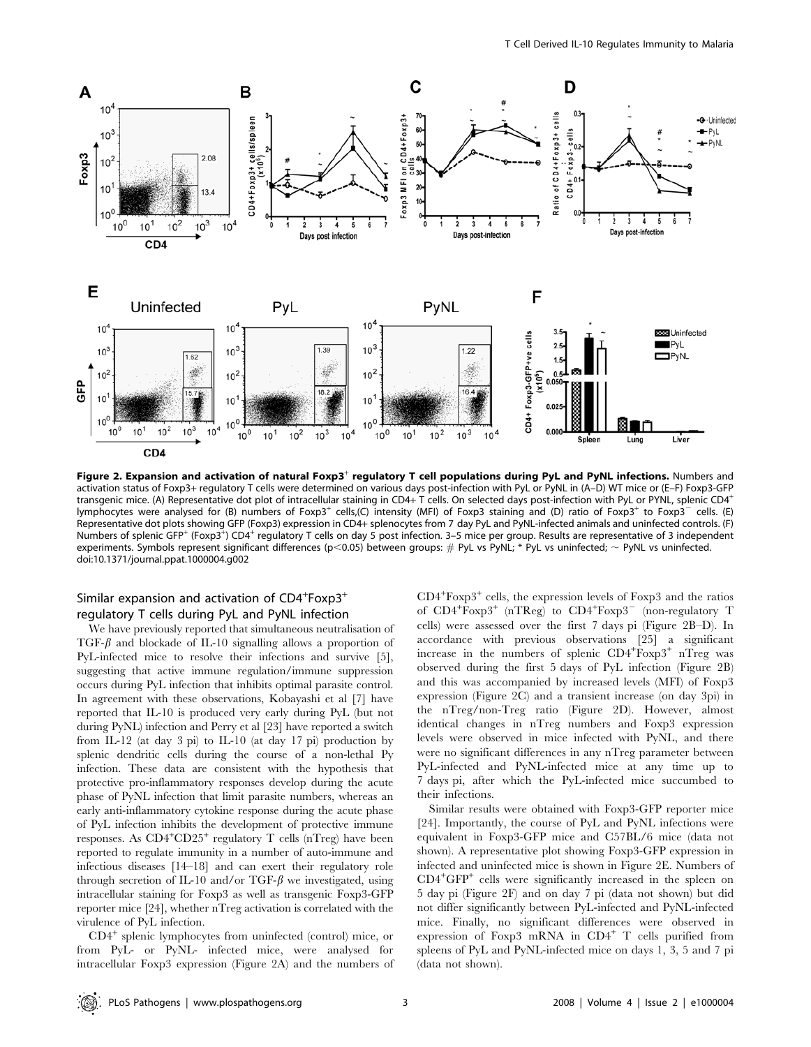

Figure 2. Expansion and activation of natural Foxp3<sup>+</sup> regulatory T cell populations during PyL and PyNL infections. Numbers and activation status of Foxp3+ regulatory T cells were determined on various days post-infection with PyL or PyNL in (A–D) WT mice or (E–F) Foxp3-GFP transgenic mice. (A) Representative dot plot of intracellular staining in CD4+ T cells. On selected days post-infection with PyL or PYNL, splenic CD4<sup>+</sup> lymphocytes were analysed for (B) numbers of Foxp3<sup>+</sup> cells,(C) intensity (MFI) of Foxp3 staining and (D) ratio of Foxp3<sup>+</sup> to Foxp3<sup>-</sup> cells. (E) Representative dot plots showing GFP (Foxp3) expression in CD4+ splenocytes from 7 day PyL and PyNL-infected animals and uninfected controls. (F) Numbers of splenic GFP<sup>+</sup> (Foxp3<sup>+</sup>) CD4<sup>+</sup> regulatory T cells on day 5 post infection. 3–5 mice per group. Results are representative of 3 independent experiments. Symbols represent significant differences (p<0.05) between groups: # PyL vs PyNL; \* PyL vs uninfected; ~ PyNL vs uninfected. doi:10.1371/journal.ppat.1000004.g002

## Similar expansion and activation of  $CD4+Foxp3+$ regulatory T cells during PyL and PyNL infection

We have previously reported that simultaneous neutralisation of TGF- $\beta$  and blockade of IL-10 signalling allows a proportion of PyL-infected mice to resolve their infections and survive [5], suggesting that active immune regulation/immune suppression occurs during PyL infection that inhibits optimal parasite control. In agreement with these observations, Kobayashi et al [7] have reported that IL-10 is produced very early during PyL (but not during PyNL) infection and Perry et al [23] have reported a switch from IL-12 (at day 3 pi) to IL-10 (at day 17 pi) production by splenic dendritic cells during the course of a non-lethal Py infection. These data are consistent with the hypothesis that protective pro-inflammatory responses develop during the acute phase of PyNL infection that limit parasite numbers, whereas an early anti-inflammatory cytokine response during the acute phase of PyL infection inhibits the development of protective immune responses. As CD4<sup>+</sup> CD25<sup>+</sup> regulatory T cells (nTreg) have been reported to regulate immunity in a number of auto-immune and infectious diseases [14–18] and can exert their regulatory role through secretion of IL-10 and/or TGF- $\beta$  we investigated, using intracellular staining for Foxp3 as well as transgenic Foxp3-GFP reporter mice [24], whether nTreg activation is correlated with the virulence of PyL infection.

CD4<sup>+</sup> splenic lymphocytes from uninfected (control) mice, or from PyL- or PyNL- infected mice, were analysed for intracellular Foxp3 expression (Figure 2A) and the numbers of

CD4<sup>+</sup> Foxp3<sup>+</sup> cells, the expression levels of Foxp3 and the ratios of CD4<sup>+</sup>Foxp3<sup>+</sup> (nTReg) to CD4<sup>+</sup>Foxp3<sup>-</sup> (non-regulatory T cells) were assessed over the first 7 days pi (Figure 2B–D). In accordance with previous observations [25] a significant increase in the numbers of splenic CD4+Foxp3+ nTreg was observed during the first 5 days of PyL infection (Figure 2B) and this was accompanied by increased levels (MFI) of Foxp3 expression (Figure 2C) and a transient increase (on day 3pi) in the nTreg/non-Treg ratio (Figure 2D). However, almost identical changes in nTreg numbers and Foxp3 expression levels were observed in mice infected with PyNL, and there were no significant differences in any nTreg parameter between PyL-infected and PyNL-infected mice at any time up to 7 days pi, after which the PyL-infected mice succumbed to their infections.

Similar results were obtained with Foxp3-GFP reporter mice [24]. Importantly, the course of PyL and PyNL infections were equivalent in Foxp3-GFP mice and C57BL/6 mice (data not shown). A representative plot showing Foxp3-GFP expression in infected and uninfected mice is shown in Figure 2E. Numbers of CD4<sup>+</sup> GFP<sup>+</sup> cells were significantly increased in the spleen on 5 day pi (Figure 2F) and on day 7 pi (data not shown) but did not differ significantly between PyL-infected and PyNL-infected mice. Finally, no significant differences were observed in expression of Foxp3 mRNA in  $CD4^+$  T cells purified from spleens of PyL and PyNL-infected mice on days 1, 3, 5 and 7 pi (data not shown).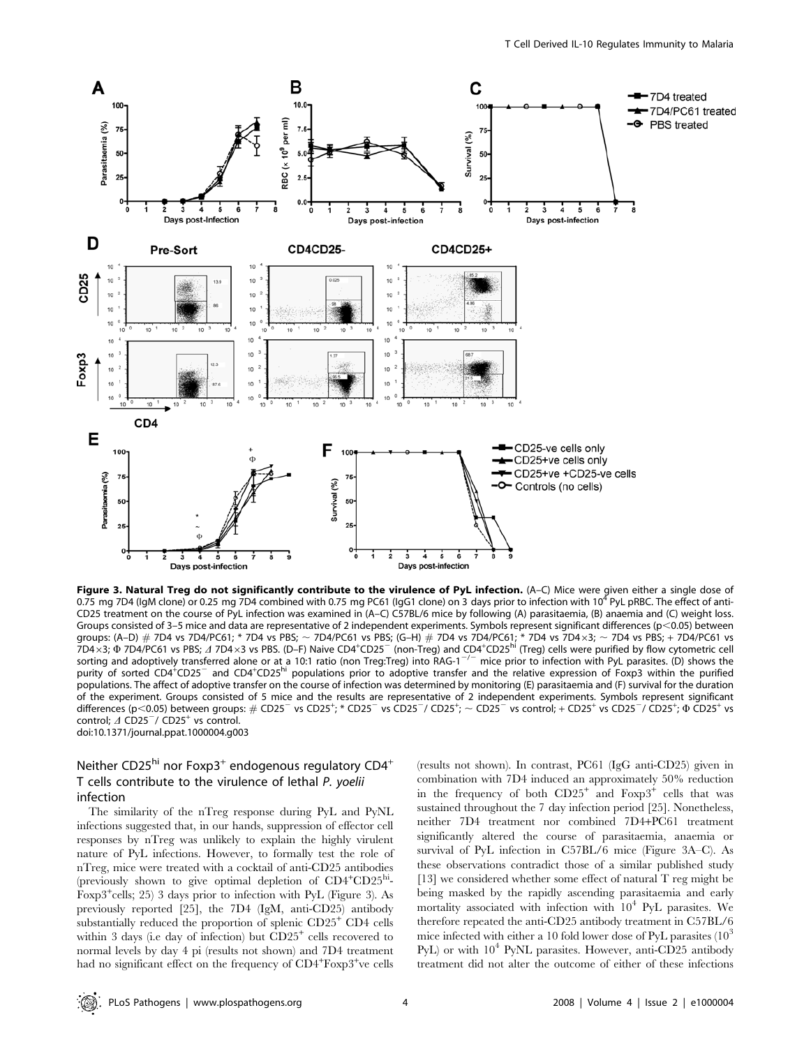

Figure 3. Natural Treg do not significantly contribute to the virulence of PyL infection. (A-C) Mice were given either a single dose of 0.75 mg 7D4 (IgM clone) or 0.25 mg 7D4 combined with 0.75 mg PC61 (IgG1 clone) on 3 days prior to infection with 10<sup>4</sup> PyL pRBC. The effect of anti-CD25 treatment on the course of PyL infection was examined in (A–C) C57BL/6 mice by following (A) parasitaemia, (B) anaemia and (C) weight loss. Groups consisted of 3–5 mice and data are representative of 2 independent experiments. Symbols represent significant differences ( $p$ <0.05) between groups: (A–D) # 7D4 vs 7D4/PC61; \* 7D4 vs PBS; ~ 7D4/PC61 vs PBS; (G–H) # 7D4 vs 7D4/PC61; \* 7D4 vs 7D4×3; ~ 7D4 vs PBS; + 7D4/PC61 vs<br>7D4×3; Ф 7D4/PC61 vs PBS; ⊿ 7D4×3 vs PBS. (D–F) Naive CD4\*CD25¯ (non-Treg) and CD4\*CD25 sorting and adoptively transferred alone or at a 10:1 ratio (non Treg:Treg) into RAG-1<sup>-/-</sup> mice prior to infection with PyL parasites. (D) shows the purity of sorted CD4<sup>+</sup>CD25<sup>-</sup> and CD4<sup>+</sup>CD25<sup>hi</sup> populations prior to adoptive transfer and the relative expression of Foxp3 within the purified populations. The affect of adoptive transfer on the course of infection was determined by monitoring (E) parasitaemia and (F) survival for the duration of the experiment. Groups consisted of 5 mice and the results are representative of 2 independent experiments. Symbols represent significant differences (p<0.05) between groups: # CD25<sup>-</sup> vs CD25<sup>+</sup>; \* CD25<sup>-</sup> vs CD25<sup>-</sup>/ CD25<sup>+</sup>; ~ CD25<sup>-</sup> vs control; + CD25<sup>+</sup> vs CD25<sup>-</sup>/ CD25<sup>+</sup>; Ф CD25<sup>+</sup> vs control;  $\triangle$  CD25<sup>-</sup>/ CD25<sup>+</sup> vs control. doi:10.1371/journal.ppat.1000004.g003

## Neither CD25 $^{\text{hi}}$  nor Foxp3<sup>+</sup> endogenous regulatory CD4<sup>+</sup> T cells contribute to the virulence of lethal P. yoelii infection

The similarity of the nTreg response during PyL and PyNL infections suggested that, in our hands, suppression of effector cell responses by nTreg was unlikely to explain the highly virulent nature of PyL infections. However, to formally test the role of nTreg, mice were treated with a cocktail of anti-CD25 antibodies (previously shown to give optimal depletion of CD4<sup>+</sup>CD25<sup>hi</sup>-Foxp3<sup>+</sup> cells; 25) 3 days prior to infection with PyL (Figure 3). As previously reported [25], the 7D4 (IgM, anti-CD25) antibody substantially reduced the proportion of splenic CD25<sup>+</sup> CD4 cells within 3 days (i.e day of infection) but  $CD25<sup>+</sup>$  cells recovered to normal levels by day 4 pi (results not shown) and 7D4 treatment had no significant effect on the frequency of CD4<sup>+</sup>Foxp3<sup>+</sup>ve cells

(results not shown). In contrast, PC61 (IgG anti-CD25) given in combination with 7D4 induced an approximately 50% reduction in the frequency of both  $CD25<sup>+</sup>$  and  $F\exp 3<sup>+</sup>$  cells that was sustained throughout the 7 day infection period [25]. Nonetheless, neither 7D4 treatment nor combined 7D4+PC61 treatment significantly altered the course of parasitaemia, anaemia or survival of PyL infection in C57BL/6 mice (Figure 3A–C). As these observations contradict those of a similar published study [13] we considered whether some effect of natural T reg might be being masked by the rapidly ascending parasitaemia and early mortality associated with infection with  $10^4$  PyL parasites. We therefore repeated the anti-CD25 antibody treatment in C57BL/6 mice infected with either a 10 fold lower dose of PyL parasites  $(10^3)$ PyL) or with  $10^4$  PyNL parasites. However, anti-CD25 antibody treatment did not alter the outcome of either of these infections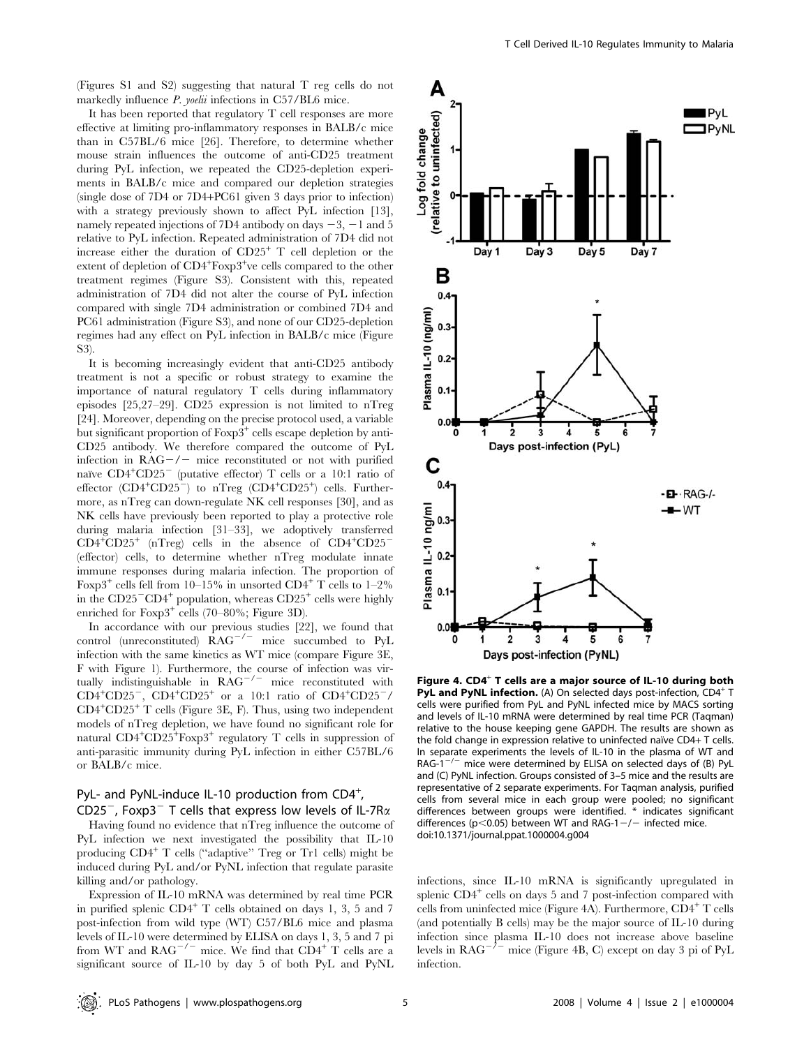(Figures S1 and S2) suggesting that natural T reg cells do not markedly influence *P. yoelii* infections in C57/BL6 mice.

It has been reported that regulatory T cell responses are more effective at limiting pro-inflammatory responses in BALB/c mice than in C57BL/6 mice [26]. Therefore, to determine whether mouse strain influences the outcome of anti-CD25 treatment during PyL infection, we repeated the CD25-depletion experiments in BALB/c mice and compared our depletion strategies (single dose of 7D4 or 7D4+PC61 given 3 days prior to infection) with a strategy previously shown to affect PyL infection [13], namely repeated injections of 7D4 antibody on days  $-3$ ,  $-1$  and 5 relative to PyL infection. Repeated administration of 7D4 did not increase either the duration of CD25<sup>+</sup> T cell depletion or the extent of depletion of CD4<sup>+</sup>Foxp3<sup>+</sup>ve cells compared to the other treatment regimes (Figure S3). Consistent with this, repeated administration of 7D4 did not alter the course of PyL infection compared with single 7D4 administration or combined 7D4 and PC61 administration (Figure S3), and none of our CD25-depletion regimes had any effect on PyL infection in BALB/c mice (Figure S3).

It is becoming increasingly evident that anti-CD25 antibody treatment is not a specific or robust strategy to examine the importance of natural regulatory T cells during inflammatory episodes [25,27–29]. CD25 expression is not limited to nTreg [24]. Moreover, depending on the precise protocol used, a variable but significant proportion of Foxp3<sup>+</sup> cells escape depletion by anti-CD25 antibody. We therefore compared the outcome of PyL infection in  $RAG-/-$  mice reconstituted or not with purified naïve CD4<sup>+</sup>CD25<sup>-</sup> (putative effector) T cells or a 10:1 ratio of effector  $(CD4+CD25)$  to nTreg  $(CD4+CD25)$  cells. Furthermore, as nTreg can down-regulate NK cell responses [30], and as NK cells have previously been reported to play a protective role during malaria infection [31–33], we adoptively transferred  $CD4^+CD25^+$  (nTreg) cells in the absence of  $CD4^+CD25^-$ (effector) cells, to determine whether nTreg modulate innate immune responses during malaria infection. The proportion of Foxp3<sup>+</sup> cells fell from 10–15% in unsorted CD4<sup>+</sup> T cells to 1–2% in the  $CD25$ <sup>-</sup>CD4<sup>+</sup> population, whereas  $CD25$ <sup>+</sup> cells were highly enriched for  $F\exp 3^+$  cells (70–80%; Figure 3D).

In accordance with our previous studies [22], we found that control (unreconstituted)  $RAG^{-/-}$  mice succumbed to PyL infection with the same kinetics as WT mice (compare Figure 3E, F with Figure 1). Furthermore, the course of infection was virtually indistinguishable in  $RAG^{-/-}$  mice reconstituted with  $CD4^+CD25^-$ ,  $CD4^+CD25^+$  or a 10:1 ratio of  $CD4^+CD25^-$ / CD4<sup>+</sup> CD25<sup>+</sup> T cells (Figure 3E, F). Thus, using two independent models of nTreg depletion, we have found no significant role for natural CD4<sup>+</sup>CD25<sup>+</sup>Foxp3<sup>+</sup> regulatory T cells in suppression of anti-parasitic immunity during PyL infection in either C57BL/6 or BALB/c mice.

## PyL- and PyNL-induce IL-10 production from  $CD4^+$ , CD25<sup>-</sup>, Foxp3<sup>-</sup> T cells that express low levels of IL-7R $\alpha$

Having found no evidence that nTreg influence the outcome of PyL infection we next investigated the possibility that IL-10 producing CD4<sup>+</sup> T cells (''adaptive'' Treg or Tr1 cells) might be induced during PyL and/or PyNL infection that regulate parasite killing and/or pathology.

Expression of IL-10 mRNA was determined by real time PCR in purified splenic  $CD4^+$  T cells obtained on days 1, 3, 5 and 7 post-infection from wild type (WT) C57/BL6 mice and plasma levels of IL-10 were determined by ELISA on days 1, 3, 5 and 7 pi from WT and  $RAG^{-/-}$  mice. We find that  $CD4^+$  T cells are a significant source of IL-10 by day 5 of both PyL and PyNL



Figure 4.  $CD4^+$  T cells are a major source of IL-10 during both **PyL and PyNL infection.** (A) On selected days post-infection,  $CD4^+$  T cells were purified from PyL and PyNL infected mice by MACS sorting and levels of IL-10 mRNA were determined by real time PCR (Taqman) relative to the house keeping gene GAPDH. The results are shown as the fold change in expression relative to uninfected naïve  $CD4+T$  cells. In separate experiments the levels of IL-10 in the plasma of WT and RAG-1 $^{-/-}$  mice were determined by ELISA on selected days of (B) PyL and (C) PyNL infection. Groups consisted of 3–5 mice and the results are representative of 2 separate experiments. For Taqman analysis, purified cells from several mice in each group were pooled; no significant differences between groups were identified. \* indicates significant differences (p<0.05) between WT and RAG-1 $-/-$  infected mice. doi:10.1371/journal.ppat.1000004.g004

infections, since IL-10 mRNA is significantly upregulated in splenic  $CD4^+$  cells on days 5 and 7 post-infection compared with cells from uninfected mice (Figure 4A). Furthermore, CD4<sup>+</sup> T cells (and potentially B cells) may be the major source of IL-10 during infection since plasma IL-10 does not increase above baseline levels in  $RAG^{-/-}$  mice (Figure 4B, C) except on day 3 pi of PyL infection.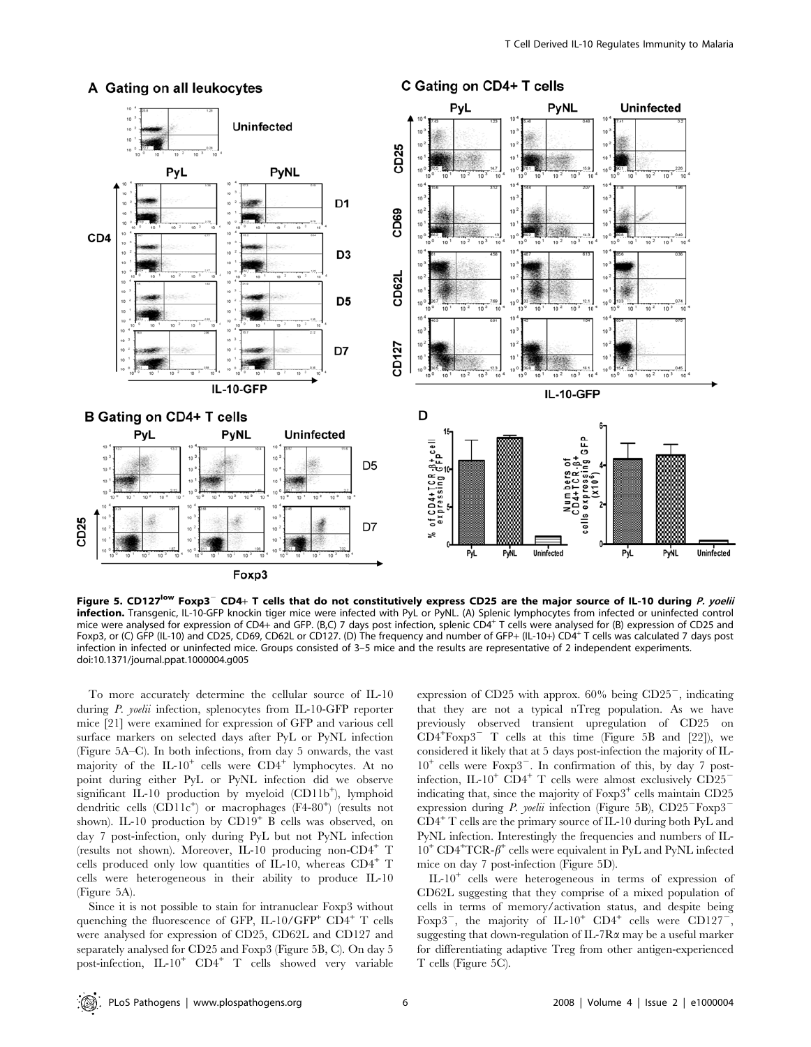

A Gating on all leukocytes

C Gating on CD4+ T cells

Figure 5. CD127<sup>low</sup> Foxp3<sup>-</sup> CD4+ T cells that do not constitutively express CD25 are the major source of IL-10 during P. yoelii infection. Transgenic, IL-10-GFP knockin tiger mice were infected with PyL or PyNL. (A) Splenic lymphocytes from infected or uninfected control mice were analysed for expression of CD4+ and GFP. (B,C) 7 days post infection, splenic CD4<sup>+</sup> T cells were analysed for (B) expression of CD25 and Foxp3, or (C) GFP (IL-10) and CD25, CD69, CD62L or CD127. (D) The frequency and number of GFP+ (IL-10+) CD4<sup>+</sup> T cells was calculated 7 days post infection in infected or uninfected mice. Groups consisted of 3–5 mice and the results are representative of 2 independent experiments. doi:10.1371/journal.ppat.1000004.g005

To more accurately determine the cellular source of IL-10 during P. yoelii infection, splenocytes from IL-10-GFP reporter mice [21] were examined for expression of GFP and various cell surface markers on selected days after PyL or PyNL infection (Figure 5A–C). In both infections, from day 5 onwards, the vast majority of the IL-10<sup>+</sup> cells were CD4<sup>+</sup> lymphocytes. At no point during either PyL or PyNL infection did we observe significant IL-10 production by myeloid (CD11b<sup>+</sup>), lymphoid dendritic cells (CD11c<sup>+</sup>) or macrophages (F4-80<sup>+</sup>) (results not shown). IL-10 production by CD19<sup>+</sup> B cells was observed, on day 7 post-infection, only during PyL but not PyNL infection (results not shown). Moreover, IL-10 producing non-CD4<sup>+</sup> T cells produced only low quantities of IL-10, whereas  $CD4^+$  T cells were heterogeneous in their ability to produce IL-10 (Figure 5A).

Since it is not possible to stain for intranuclear Foxp3 without quenching the fluorescence of GFP, IL-10/GFP<sup>+</sup> CD4<sup>+</sup> T cells were analysed for expression of CD25, CD62L and CD127 and separately analysed for CD25 and Foxp3 (Figure 5B, C). On day 5 post-infection,  $IL-10^+$   $CD4^+$  T cells showed very variable

expression of CD25 with approx.  $60\%$  being CD25<sup>-</sup>, indicating that they are not a typical nTreg population. As we have previously observed transient upregulation of CD25 on  $CD4+F\exp 3$ <sup>-</sup> T cells at this time (Figure 5B and [22]), we considered it likely that at 5 days post-infection the majority of IL- $10^{+}$  cells were  $F\exp 3^{-}$ . In confirmation of this, by day 7 postinfection, IL-10<sup>+</sup> CD4<sup>+</sup> T cells were almost exclusively CD25<sup>-</sup> indicating that, since the majority of  $F\alpha p3^+$  cells maintain  $CD25$ expression during *P. yoelii* infection (Figure 5B),  $CD25$ <sup>-</sup>Foxp3<sup>-</sup>  $CD4^+$  T cells are the primary source of IL-10 during both PyL and PyNL infection. Interestingly the frequencies and numbers of IL- $10^+$  CD4<sup>+</sup>TCR- $\beta^+$  cells were equivalent in PyL and PyNL infected mice on day 7 post-infection (Figure 5D).

IL-10<sup>+</sup> cells were heterogeneous in terms of expression of CD62L suggesting that they comprise of a mixed population of cells in terms of memory/activation status, and despite being Foxp3<sup>-</sup>, the majority of IL-10<sup>+</sup> CD4<sup>+</sup> cells were CD127<sup>-</sup>, suggesting that down-regulation of IL-7R $\alpha$  may be a useful marker for differentiating adaptive Treg from other antigen-experienced T cells (Figure 5C).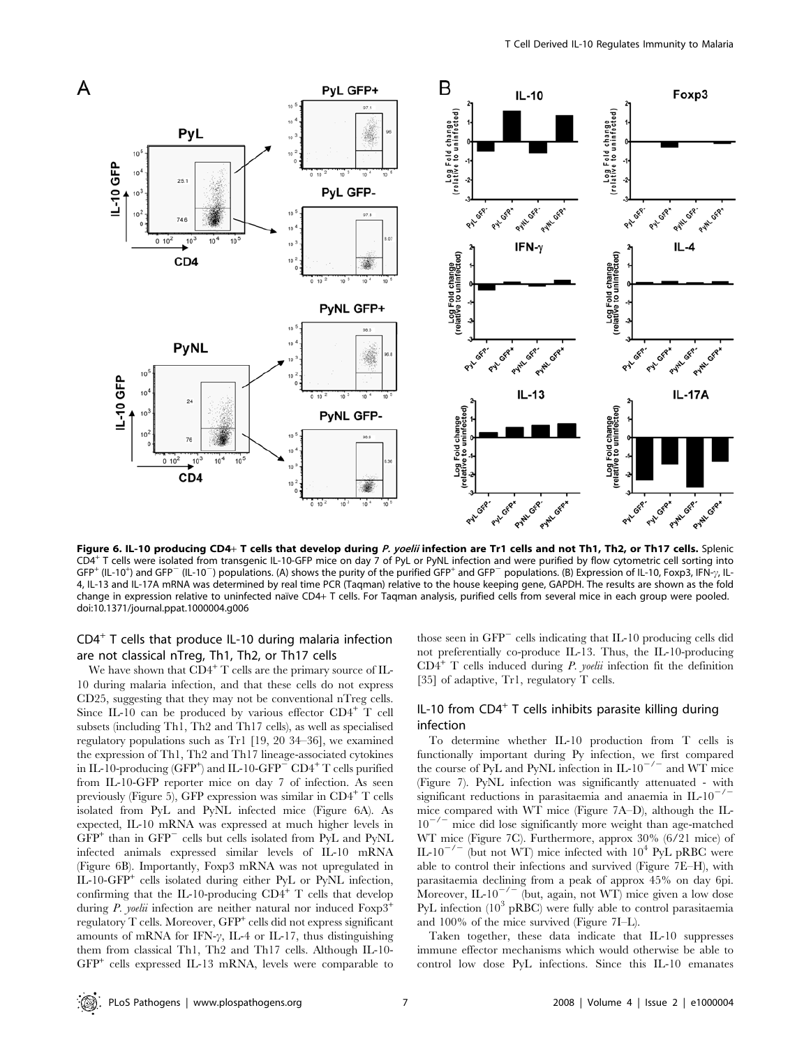

Figure 6. IL-10 producing CD4+ T cells that develop during P. yoelii infection are Tr1 cells and not Th1, Th2, or Th17 cells. Splenic CD4<sup>+</sup> T cells were isolated from transgenic IL-10-GFP mice on day 7 of PyL or PyNL infection and were purified by flow cytometric cell sorting into  $GFP^+$  (IL-10<sup>+</sup>) and GFP<sup>-</sup> (IL-10<sup>-</sup>) populations. (A) shows the purity of the purified GFP<sup>+</sup> and GFP<sup>-</sup> populations. (B) Expression of IL-10, Foxp3, IFN- $\gamma$ , IL-4, IL-13 and IL-17A mRNA was determined by real time PCR (Taqman) relative to the house keeping gene, GAPDH. The results are shown as the fold change in expression relative to uninfected naïve CD4+ T cells. For Taqman analysis, purified cells from several mice in each group were pooled. doi:10.1371/journal.ppat.1000004.g006

## $CD4<sup>+</sup>$  T cells that produce IL-10 during malaria infection are not classical nTreg, Th1, Th2, or Th17 cells

We have shown that  $CD4^+$  T cells are the primary source of IL-10 during malaria infection, and that these cells do not express CD25, suggesting that they may not be conventional nTreg cells. Since IL-10 can be produced by various effector  $CD4^+$  T cell subsets (including Th1, Th2 and Th17 cells), as well as specialised regulatory populations such as Tr1 [19, 20 34–36], we examined the expression of Th1, Th2 and Th17 lineage-associated cytokines in IL-10-producing (GFP<sup>+</sup>) and IL-10-GFP<sup> $-$ </sup> CD4<sup>+</sup> T cells purified from IL-10-GFP reporter mice on day 7 of infection. As seen previously (Figure 5), GFP expression was similar in  $CD4^+$  T cells isolated from PyL and PyNL infected mice (Figure 6A). As expected, IL-10 mRNA was expressed at much higher levels in  $GFP<sup>+</sup>$  than in  $GFP<sup>-</sup>$  cells but cells isolated from PyL and PyNL infected animals expressed similar levels of IL-10 mRNA (Figure 6B). Importantly, Foxp3 mRNA was not upregulated in IL-10-GFP<sup>+</sup> cells isolated during either PyL or PyNL infection, confirming that the IL-10-producing  ${\rm CD4}^+$  T cells that develop during P. yoelii infection are neither natural nor induced  $F\exp 3^+$ regulatory T cells. Moreover, GFP<sup>+</sup> cells did not express significant amounts of mRNA for IFN- $\gamma$ , IL-4 or IL-17, thus distinguishing them from classical Th1, Th2 and Th17 cells. Although IL-10-  $GFP<sup>+</sup>$  cells expressed IL-13 mRNA, levels were comparable to those seen in  $GFP^-$  cells indicating that IL-10 producing cells did not preferentially co-produce IL-13. Thus, the IL-10-producing  $CD4^+$  T cells induced during *P. yoelii* infection fit the definition [35] of adaptive, Tr1, regulatory T cells.

## IL-10 from  $CD4^+$  T cells inhibits parasite killing during infection

To determine whether IL-10 production from T cells is functionally important during Py infection, we first compared the course of PyL and PyNL infection in IL-10<sup>-/-</sup> and WT mice (Figure 7). PyNL infection was significantly attenuated - with significant reductions in parasitaemia and anaemia in  $IL-10^{-7}$ mice compared with WT mice (Figure 7A–D), although the IL- $10^{-7}$  mice did lose significantly more weight than age-matched WT mice (Figure 7C). Furthermore, approx 30% (6/21 mice) of IL-10<sup>-/-</sup> (but not WT) mice infected with  $10^4$  PyL pRBC were able to control their infections and survived (Figure 7E–H), with parasitaemia declining from a peak of approx 45% on day 6pi. Moreover, IL-10<sup> $^{-/-}$ </sup> (but, again, not WT) mice given a low dose PyL infection  $(10^3 \text{ pRBC})$  were fully able to control parasitaemia and 100% of the mice survived (Figure 7I–L).

Taken together, these data indicate that IL-10 suppresses immune effector mechanisms which would otherwise be able to control low dose PyL infections. Since this IL-10 emanates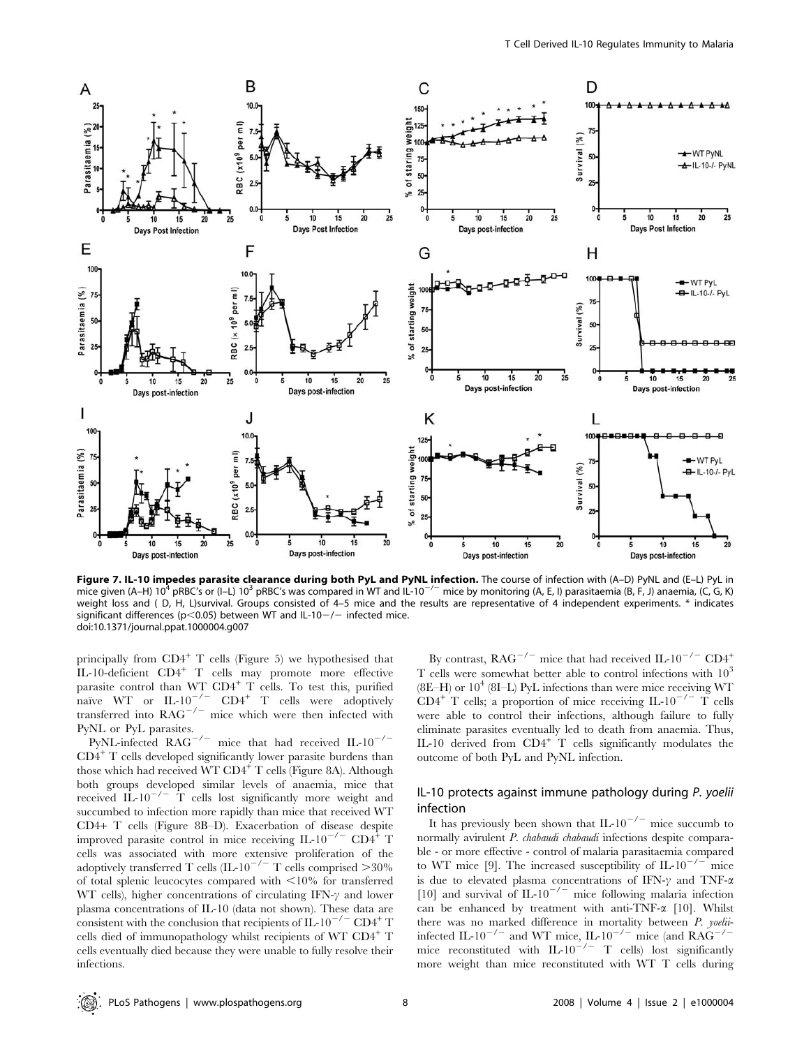

**Figure 7. IL-10 impedes parasite clearance during both PyL and PyNL infection.** The course of infection with (A–D) PyNL and (E–L) PyL in<br>mice given (A–H) 10<sup>4</sup> pRBC's or (I–L) 10<sup>3</sup> pRBC's was compared in WT and IL-10<sup>–/–</sup> weight loss and (D, H, L)survival. Groups consisted of 4–5 mice and the results are representative of 4 independent experiments. \* indicates significant differences (p<0.05) between WT and IL-10-/- infected mice. doi:10.1371/journal.ppat.1000004.g007

principally from  $CD4^+$  T cells (Figure 5) we hypothesised that IL-10-deficient CD4<sup>+</sup> T cells may promote more effective parasite control than  $WT$   $CD4^+$  T cells. To test this, purified naïve WT or  $IL-10^{-/-}$  CD4<sup>+</sup> T cells were adoptively transferred into  $RAG^{-/-}$  mice which were then infected with PyNL or PyL parasites.

PyNL-infected  $RAG^{-/-}$  mice that had received IL-10<sup>-/-</sup>  $CD4<sup>+</sup>$  T cells developed significantly lower parasite burdens than those which had received WT CD4<sup>+</sup> T cells (Figure 8A). Although both groups developed similar levels of anaemia, mice that received IL-10<sup> $-/-$ </sup> T cells lost significantly more weight and succumbed to infection more rapidly than mice that received WT CD4+ T cells (Figure 8B–D). Exacerbation of disease despite improved parasite control in mice receiving  $IL-10^{-7}$  CD4<sup>+</sup> T cells was associated with more extensive proliferation of the adoptively transferred T cells (IL-10<sup>-/-</sup> T cells comprised  $>$ 30% of total splenic leucocytes compared with  $\leq 10\%$  for transferred WT cells), higher concentrations of circulating IFN- $\gamma$  and lower plasma concentrations of IL-10 (data not shown). These data are consistent with the conclusion that recipients of IL-10<sup>-/-</sup> CD4<sup>+</sup> T cells died of immunopathology whilst recipients of WT CD4<sup>+</sup> T cells eventually died because they were unable to fully resolve their infections.

By contrast,  $RAG^{-/-}$  mice that had received IL-10<sup>-/-</sup> CD4<sup>+</sup> T cells were somewhat better able to control infections with  $10<sup>3</sup>$  $(8E-H)$  or  $10<sup>4</sup>$  (8I–L) PyL infections than were mice receiving WT  $CD4^+$  T cells; a proportion of mice receiving IL-10<sup>-/-</sup> T cells were able to control their infections, although failure to fully eliminate parasites eventually led to death from anaemia. Thus, IL-10 derived from  $CD4^+$  T cells significantly modulates the outcome of both PyL and PyNL infection.

## IL-10 protects against immune pathology during P. yoelii infection

It has previously been shown that IL-10<sup>-/-</sup> mice succumb to normally avirulent *P. chabaudi chabaudi* infections despite comparable - or more effective - control of malaria parasitaemia compared to WT mice [9]. The increased susceptibility of IL-10<sup>-/-</sup> mice is due to elevated plasma concentrations of IFN- $\gamma$  and TNF- $\alpha$ [10] and survival of IL-10<sup>-/-</sup> mice following malaria infection can be enhanced by treatment with anti-TNF-a [10]. Whilst there was no marked difference in mortality between P. yoeliiinfected IL-10<sup>-/-</sup> and WT mice, IL-10<sup>-/-</sup> mice (and RAG<sup>-/-</sup> mice reconstituted with IL-10<sup>-/-</sup> T cells) lost significantly more weight than mice reconstituted with WT T cells during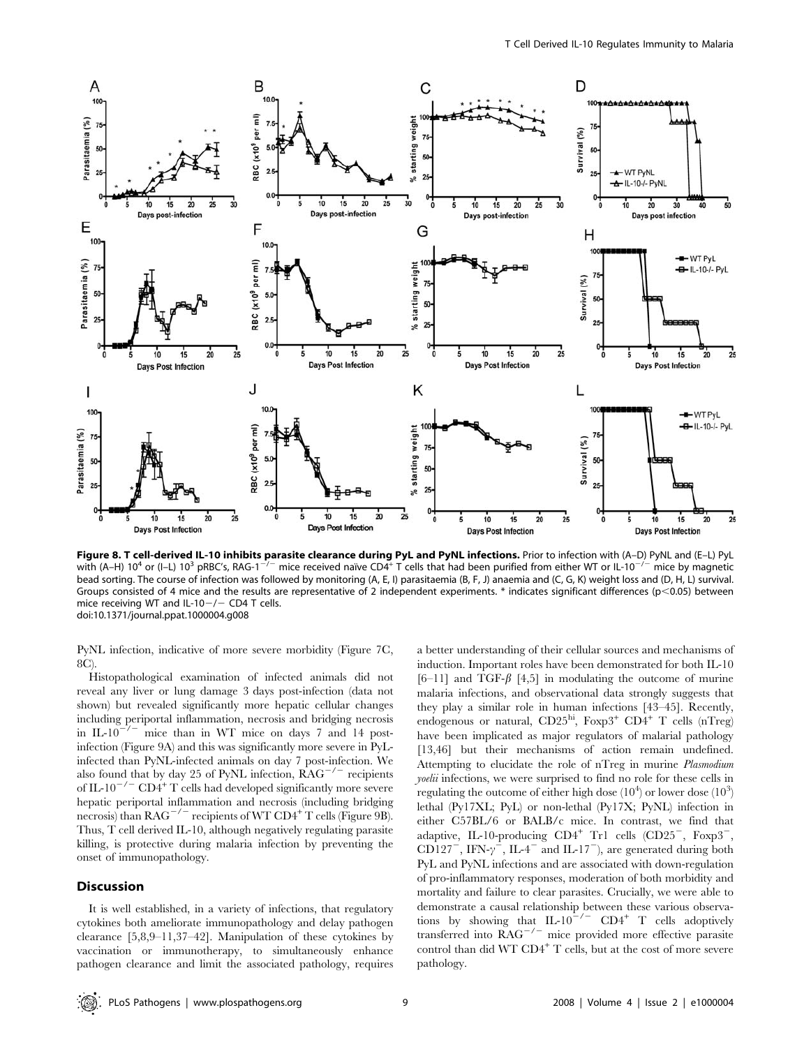

Figure 8. T cell-derived IL-10 inhibits parasite clearance during PyL and PyNL infections. Prior to infection with (A-D) PyNL and (E-L) PyL with (A–H) 10<sup>4</sup> or (I–L) 10<sup>3</sup> pRBC's, RAG-1<sup>-/-</sup> mice received naıve CD4<sup>+</sup> T cells that had been purified from either WT or IL-10<sup>-/-</sup> mice by magnetic bead sorting. The course of infection was followed by monitoring (A, E, I) parasitaemia (B, F, J) anaemia and (C, G, K) weight loss and (D, H, L) survival. Groups consisted of 4 mice and the results are representative of 2 independent experiments. \* indicates significant differences ( $p$ <0.05) between mice receiving WT and IL-10 $-/-$  CD4 T cells. doi:10.1371/journal.ppat.1000004.g008

PyNL infection, indicative of more severe morbidity (Figure 7C, 8C).

Histopathological examination of infected animals did not reveal any liver or lung damage 3 days post-infection (data not shown) but revealed significantly more hepatic cellular changes including periportal inflammation, necrosis and bridging necrosis in IL-10<sup> $-/-$ </sup> mice than in WT mice on days 7 and 14 postinfection (Figure 9A) and this was significantly more severe in PyLinfected than PyNL-infected animals on day 7 post-infection. We also found that by day 25 of PyNL infection,  $RAG^{-/-}$  recipients of IL-10<sup>-/-</sup> CD4<sup>+</sup> T cells had developed significantly more severe hepatic periportal inflammation and necrosis (including bridging necrosis) than  $RAG^{-/-}$  recipients of WT  $CD4^+$  T cells (Figure 9B). Thus, T cell derived IL-10, although negatively regulating parasite killing, is protective during malaria infection by preventing the onset of immunopathology.

## Discussion

It is well established, in a variety of infections, that regulatory cytokines both ameliorate immunopathology and delay pathogen clearance [5,8,9–11,37–42]. Manipulation of these cytokines by vaccination or immunotherapy, to simultaneously enhance pathogen clearance and limit the associated pathology, requires a better understanding of their cellular sources and mechanisms of induction. Important roles have been demonstrated for both IL-10 [6–11] and TGF- $\beta$  [4,5] in modulating the outcome of murine malaria infections, and observational data strongly suggests that they play a similar role in human infections [43–45]. Recently, endogenous or natural,  $CD25<sup>hi</sup>$ ,  $Foxp3<sup>+</sup>$   $CD4<sup>+</sup>$  T cells (nTreg) have been implicated as major regulators of malarial pathology [13,46] but their mechanisms of action remain undefined. Attempting to elucidate the role of nTreg in murine Plasmodium yoelii infections, we were surprised to find no role for these cells in regulating the outcome of either high dose  $(10^4)$  or lower dose  $(10^3)$ lethal (Py17XL; PyL) or non-lethal (Py17X; PyNL) infection in either C57BL/6 or BALB/c mice. In contrast, we find that adaptive, IL-10-producing  $CD4^+$  Tr1 cells  $(CD25^-$ ,  $Foxp3^-$ , CD127<sup>-</sup>, IFN- $\gamma$ <sup>-</sup>, IL-4<sup>-</sup> and IL-17<sup>-</sup>), are generated during both PyL and PyNL infections and are associated with down-regulation of pro-inflammatory responses, moderation of both morbidity and mortality and failure to clear parasites. Crucially, we were able to demonstrate a causal relationship between these various observations by showing that  $IL-10^{-/-}$  CD4<sup>+</sup> T cells adoptively transferred into  $\overline{R}AG^{-/-}$  mice provided more effective parasite control than did WT  $CD4^+$  T cells, but at the cost of more severe pathology.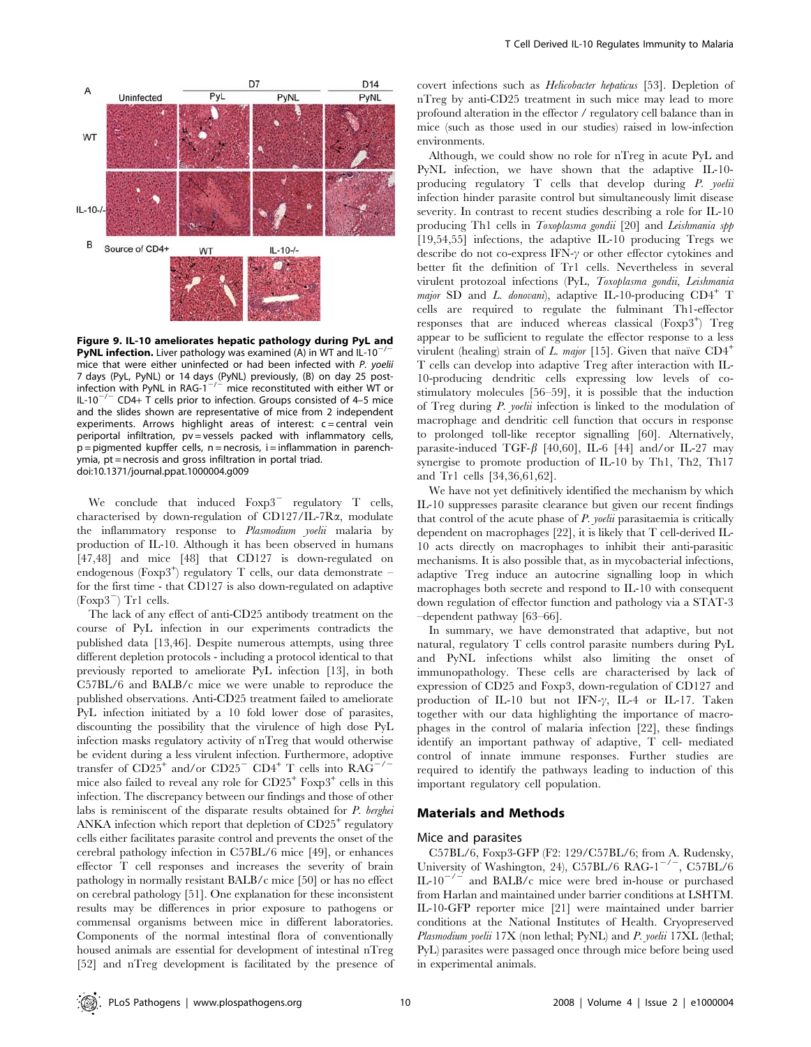

Figure 9. IL-10 ameliorates hepatic pathology during PyL and PyNL infection. Liver pathology was examined (A) in WT and IL-10<sup>-</sup> mice that were either uninfected or had been infected with P. yoelii 7 days (PyL, PyNL) or 14 days (PyNL) previously, (B) on day 25 post-<br>infection with PyNL in RAG-1<sup>—/—</sup> mice reconstituted with either WT or IL-10<sup>-/-</sup> CD4+ T cells prior to infection. Groups consisted of 4-5 mice and the slides shown are representative of mice from 2 independent experiments. Arrows highlight areas of interest:  $c =$  central vein periportal infiltration, pv = vessels packed with inflammatory cells,  $p =$  pigmented kupffer cells,  $n =$  necrosis,  $i =$  inflammation in parenchymia, pt = necrosis and gross infiltration in portal triad. doi:10.1371/journal.ppat.1000004.g009

We conclude that induced  $F\exp 3$  regulatory T cells, characterised by down-regulation of CD127/IL-7Ra, modulate the inflammatory response to Plasmodium yoelii malaria by production of IL-10. Although it has been observed in humans [47,48] and mice [48] that CD127 is down-regulated on endogenous (Foxp3<sup>+</sup> ) regulatory T cells, our data demonstrate – for the first time - that CD127 is also down-regulated on adaptive  $(Foxp3)$  Tr1 cells.

The lack of any effect of anti-CD25 antibody treatment on the course of PyL infection in our experiments contradicts the published data [13,46]. Despite numerous attempts, using three different depletion protocols - including a protocol identical to that previously reported to ameliorate PyL infection [13], in both C57BL/6 and BALB/c mice we were unable to reproduce the published observations. Anti-CD25 treatment failed to ameliorate PyL infection initiated by a 10 fold lower dose of parasites, discounting the possibility that the virulence of high dose PyL infection masks regulatory activity of nTreg that would otherwise be evident during a less virulent infection. Furthermore, adoptive transfer of  $CD25^+$  and/or  $CD25^ CD4^+$  T cells into  $RAG^{-2}$ mice also failed to reveal any role for  $CD25<sup>+</sup>$  Foxp $3<sup>+</sup>$  cells in this infection. The discrepancy between our findings and those of other labs is reminiscent of the disparate results obtained for P. berghei ANKA infection which report that depletion of CD25<sup>+</sup> regulatory cells either facilitates parasite control and prevents the onset of the cerebral pathology infection in C57BL/6 mice [49], or enhances effector T cell responses and increases the severity of brain pathology in normally resistant BALB/c mice [50] or has no effect on cerebral pathology [51]. One explanation for these inconsistent results may be differences in prior exposure to pathogens or commensal organisms between mice in different laboratories. Components of the normal intestinal flora of conventionally housed animals are essential for development of intestinal nTreg [52] and nTreg development is facilitated by the presence of covert infections such as Helicobacter hepaticus [53]. Depletion of nTreg by anti-CD25 treatment in such mice may lead to more profound alteration in the effector / regulatory cell balance than in mice (such as those used in our studies) raised in low-infection environments.

Although, we could show no role for nTreg in acute PyL and PyNL infection, we have shown that the adaptive IL-10 producing regulatory T cells that develop during P. yoelii infection hinder parasite control but simultaneously limit disease severity. In contrast to recent studies describing a role for IL-10 producing Th1 cells in Toxoplasma gondii [20] and Leishmania spp [19,54,55] infections, the adaptive IL-10 producing Tregs we describe do not co-express IFN- $\gamma$  or other effector cytokines and better fit the definition of Tr1 cells. Nevertheless in several virulent protozoal infections (PyL, Toxoplasma gondii, Leishmania *major* SD and *L. donovani*, adaptive IL-10-producing  $CD4^+$  T cells are required to regulate the fulminant Th1-effector responses that are induced whereas classical (Foxp3<sup>+</sup>) Treg appear to be sufficient to regulate the effector response to a less virulent (healing) strain of L. major [15]. Given that naïve  $CD4^+$ T cells can develop into adaptive Treg after interaction with IL-10-producing dendritic cells expressing low levels of costimulatory molecules [56–59], it is possible that the induction of Treg during P. yoelii infection is linked to the modulation of macrophage and dendritic cell function that occurs in response to prolonged toll-like receptor signalling [60]. Alternatively, parasite-induced TGF- $\beta$  [40,60], IL-6 [44] and/or IL-27 may synergise to promote production of IL-10 by Th1, Th2, Th17 and Tr1 cells [34,36,61,62].

We have not yet definitively identified the mechanism by which IL-10 suppresses parasite clearance but given our recent findings that control of the acute phase of P. yoelii parasitaemia is critically dependent on macrophages [22], it is likely that T cell-derived IL-10 acts directly on macrophages to inhibit their anti-parasitic mechanisms. It is also possible that, as in mycobacterial infections, adaptive Treg induce an autocrine signalling loop in which macrophages both secrete and respond to IL-10 with consequent down regulation of effector function and pathology via a STAT-3 –dependent pathway [63–66].

In summary, we have demonstrated that adaptive, but not natural, regulatory T cells control parasite numbers during PyL and PyNL infections whilst also limiting the onset of immunopathology. These cells are characterised by lack of expression of CD25 and Foxp3, down-regulation of CD127 and production of IL-10 but not IFN- $\gamma$ , IL-4 or IL-17. Taken together with our data highlighting the importance of macrophages in the control of malaria infection [22], these findings identify an important pathway of adaptive, T cell- mediated control of innate immune responses. Further studies are required to identify the pathways leading to induction of this important regulatory cell population.

#### Materials and Methods

## Mice and parasites

C57BL/6, Foxp3-GFP (F2: 129/C57BL/6; from A. Rudensky, University of Washington, 24), C57BL/6 RAG-1<sup>-/-</sup>, C57BL/6 IL-10<sup> $-/-$ </sup> and BALB/c mice were bred in-house or purchased from Harlan and maintained under barrier conditions at LSHTM. IL-10-GFP reporter mice [21] were maintained under barrier conditions at the National Institutes of Health. Cryopreserved Plasmodium yoelii 17X (non lethal; PyNL) and P. yoelii 17XL (lethal; PyL) parasites were passaged once through mice before being used in experimental animals.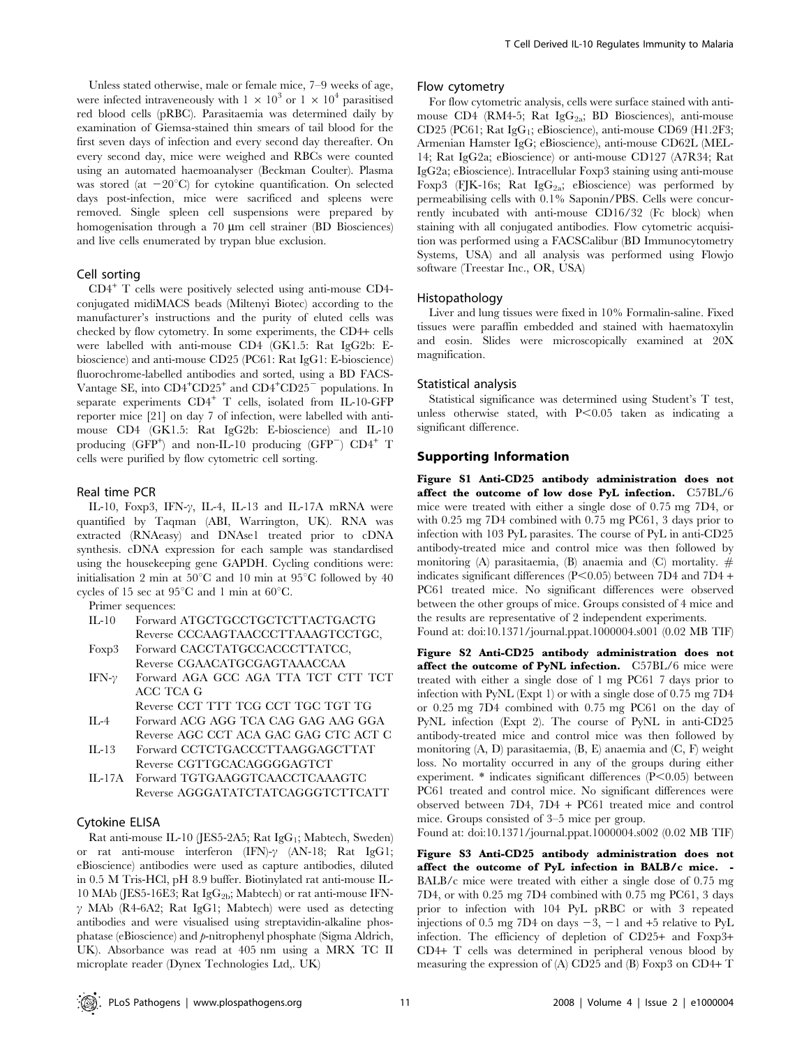Unless stated otherwise, male or female mice, 7–9 weeks of age, were infected intraveneously with  $1 \times 10^3$  or  $1 \times 10^4$  parasitised red blood cells (pRBC). Parasitaemia was determined daily by examination of Giemsa-stained thin smears of tail blood for the first seven days of infection and every second day thereafter. On every second day, mice were weighed and RBCs were counted using an automated haemoanalyser (Beckman Coulter). Plasma was stored (at  $-20^{\circ}$ C) for cytokine quantification. On selected days post-infection, mice were sacrificed and spleens were removed. Single spleen cell suspensions were prepared by homogenisation through a  $70 \mu m$  cell strainer (BD Biosciences) and live cells enumerated by trypan blue exclusion.

#### Cell sorting

CD4<sup>+</sup> T cells were positively selected using anti-mouse CD4 conjugated midiMACS beads (Miltenyi Biotec) according to the manufacturer's instructions and the purity of eluted cells was checked by flow cytometry. In some experiments, the CD4+ cells were labelled with anti-mouse CD4 (GK1.5: Rat IgG2b: Ebioscience) and anti-mouse CD25 (PC61: Rat IgG1: E-bioscience) fluorochrome-labelled antibodies and sorted, using a BD FACS-Vantage SE, into CD4<sup>+</sup>CD25<sup>+</sup> and CD4<sup>+</sup>CD25<sup>-</sup> populations. In separate experiments CD4<sup>+</sup> T cells, isolated from IL-10-GFP reporter mice [21] on day 7 of infection, were labelled with antimouse CD4 (GK1.5: Rat IgG2b: E-bioscience) and IL-10 producing  $(GFP<sup>+</sup>)$  and non-IL-10 producing  $(GFP<sup>-</sup>)$   $CD4<sup>+</sup>$  T cells were purified by flow cytometric cell sorting.

#### Real time PCR

IL-10, Foxp3, IFN- $\gamma$ , IL-4, IL-13 and IL-17A mRNA were quantified by Taqman (ABI, Warrington, UK). RNA was extracted (RNAeasy) and DNAse1 treated prior to cDNA synthesis. cDNA expression for each sample was standardised using the housekeeping gene GAPDH. Cycling conditions were: initialisation 2 min at  $50^{\circ}$ C and 10 min at  $95^{\circ}$ C followed by 40 cycles of 15 sec at  $95^{\circ}$ C and 1 min at  $60^{\circ}$ C.

#### Primer sequences:

- IL-10 Forward ATGCTGCCTGCTCTTACTGACTG Reverse CCCAAGTAACCCTTAAAGTCCTGC, Foxp3 Forward CACCTATGCCACCCTTATCC, Reverse CGAACATGCGAGTAAACCAA
- IFN- $\gamma$  Forward AGA GCC AGA TTA TCT CTT TCT ACC TCA G

Reverse CCT TTT TCG CCT TGC TGT TG IL-4 Forward ACG AGG TCA CAG GAG AAG GGA

- Reverse AGC CCT ACA GAC GAG CTC ACT C IL-13 Forward CCTCTGACCCTTAAGGAGCTTAT
- Reverse CGTTGCACAGGGGAGTCT
- IL-17A Forward TGTGAAGGTCAACCTCAAAGTC Reverse AGGGATATCTATCAGGGTCTTCATT

#### Cytokine ELISA

Rat anti-mouse IL-10 (JES5-2A5; Rat IgG<sub>1</sub>; Mabtech, Sweden) or rat anti-mouse interferon (IFN)- $\gamma$  (AN-18; Rat IgG1; eBioscience) antibodies were used as capture antibodies, diluted in 0.5 M Tris-HCl, pH 8.9 buffer. Biotinylated rat anti-mouse IL-10 MAb (JES5-16E3; Rat IgG<sub>2b</sub>; Mabtech) or rat anti-mouse IFN- $\gamma$  MAb (R4-6A2; Rat IgG1; Mabtech) were used as detecting antibodies and were visualised using streptavidin-alkaline phosphatase (eBioscience) and p-nitrophenyl phosphate (Sigma Aldrich, UK). Absorbance was read at 405 nm using a MRX TC II microplate reader (Dynex Technologies Ltd,. UK)

#### Flow cytometry

For flow cytometric analysis, cells were surface stained with antimouse CD4 (RM4-5; Rat  $IgG_{2a}$ ; BD Biosciences), anti-mouse CD25 (PC61; Rat  $IgG_1$ ; eBioscience), anti-mouse CD69 (H1.2F3; Armenian Hamster IgG; eBioscience), anti-mouse CD62L (MEL-14; Rat IgG2a; eBioscience) or anti-mouse CD127 (A7R34; Rat IgG2a; eBioscience). Intracellular Foxp3 staining using anti-mouse Foxp3 (FIK-16s; Rat IgG<sub>2</sub>a; eBioscience) was performed by permeabilising cells with 0.1% Saponin/PBS. Cells were concurrently incubated with anti-mouse CD16/32 (Fc block) when staining with all conjugated antibodies. Flow cytometric acquisition was performed using a FACSCalibur (BD Immunocytometry Systems, USA) and all analysis was performed using Flowjo software (Treestar Inc., OR, USA)

#### Histopathology

Liver and lung tissues were fixed in 10% Formalin-saline. Fixed tissues were paraffin embedded and stained with haematoxylin and eosin. Slides were microscopically examined at 20X magnification.

#### Statistical analysis

Statistical significance was determined using Student's T test, unless otherwise stated, with  $P<0.05$  taken as indicating a significant difference.

## Supporting Information

Figure S1 Anti-CD25 antibody administration does not affect the outcome of low dose PyL infection. C57BL/6 mice were treated with either a single dose of 0.75 mg 7D4, or with 0.25 mg 7D4 combined with 0.75 mg PC61, 3 days prior to infection with 103 PyL parasites. The course of PyL in anti-CD25 antibody-treated mice and control mice was then followed by monitoring (A) parasitaemia, (B) anaemia and (C) mortality.  $#$ indicates significant differences  $(P<0.05)$  between 7D4 and 7D4 + PC61 treated mice. No significant differences were observed between the other groups of mice. Groups consisted of 4 mice and the results are representative of 2 independent experiments.

Found at: doi:10.1371/journal.ppat.1000004.s001 (0.02 MB TIF)

Figure S2 Anti-CD25 antibody administration does not affect the outcome of PyNL infection. C57BL/6 mice were treated with either a single dose of 1 mg PC61 7 days prior to infection with PyNL (Expt 1) or with a single dose of 0.75 mg 7D4 or 0.25 mg 7D4 combined with 0.75 mg PC61 on the day of PyNL infection (Expt 2). The course of PyNL in anti-CD25 antibody-treated mice and control mice was then followed by monitoring (A, D) parasitaemia, (B, E) anaemia and (C, F) weight loss. No mortality occurred in any of the groups during either experiment.  $*$  indicates significant differences (P<0.05) between PC61 treated and control mice. No significant differences were observed between 7D4, 7D4 + PC61 treated mice and control mice. Groups consisted of 3–5 mice per group.

Found at: doi:10.1371/journal.ppat.1000004.s002 (0.02 MB TIF)

Figure S3 Anti-CD25 antibody administration does not affect the outcome of PyL infection in BALB/c mice. - BALB/c mice were treated with either a single dose of 0.75 mg 7D4, or with 0.25 mg 7D4 combined with 0.75 mg PC61, 3 days prior to infection with 104 PyL pRBC or with 3 repeated injections of 0.5 mg 7D4 on days  $-3$ ,  $-1$  and  $+5$  relative to PyL infection. The efficiency of depletion of CD25+ and Foxp3+ CD4+ T cells was determined in peripheral venous blood by measuring the expression of (A) CD25 and (B) Foxp3 on CD4+ T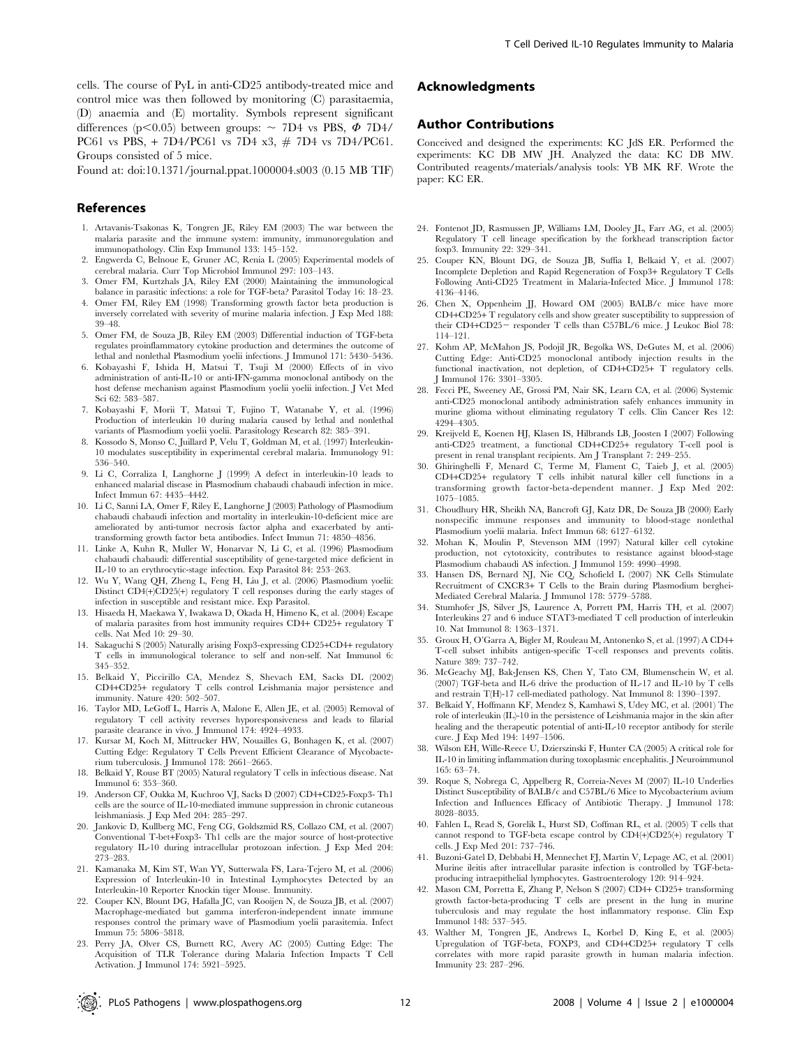cells. The course of PyL in anti-CD25 antibody-treated mice and control mice was then followed by monitoring (C) parasitaemia, (D) anaemia and (E) mortality. Symbols represent significant differences (p $\leq$ 0.05) between groups:  $\sim$  7D4 vs PBS,  $\Phi$  7D4/ PC61 vs PBS, + 7D4/PC61 vs 7D4 x3, # 7D4 vs 7D4/PC61. Groups consisted of 5 mice.

Found at: doi:10.1371/journal.ppat.1000004.s003 (0.15 MB TIF)

#### References

- 1. Artavanis-Tsakonas K, Tongren JE, Riley EM (2003) The war between the malaria parasite and the immune system: immunity, immunoregulation and immunopathology. Clin Exp Immunol 133: 145–152.
- 2. Engwerda C, Belnoue E, Gruner AC, Renia L (2005) Experimental models of cerebral malaria. Curr Top Microbiol Immunol 297: 103–143.
- 3. Omer FM, Kurtzhals JA, Riley EM (2000) Maintaining the immunological balance in parasitic infections: a role for TGF-beta? Parasitol Today 16: 18–23.
- 4. Omer FM, Riley EM (1998) Transforming growth factor beta production is inversely correlated with severity of murine malaria infection. J Exp Med 188: 39–48.
- 5. Omer FM, de Souza JB, Riley EM (2003) Differential induction of TGF-beta regulates proinflammatory cytokine production and determines the outcome of lethal and nonlethal Plasmodium yoelii infections. J Immunol 171: 5430–5436.
- 6. Kobayashi F, Ishida H, Matsui T, Tsuji M (2000) Effects of in vivo administration of anti-IL-10 or anti-IFN-gamma monoclonal antibody on the host defense mechanism against Plasmodium yoelii yoelii infection. J Vet Med Sci 62: 583–587.
- 7. Kobayashi F, Morii T, Matsui T, Fujino T, Watanabe Y, et al. (1996) Production of interleukin 10 during malaria caused by lethal and nonlethal variants of Plasmodium yoelii yoelii. Parasitology Research 82: 385–391.
- 8. Kossodo S, Monso C, Juillard P, Velu T, Goldman M, et al. (1997) Interleukin-10 modulates susceptibility in experimental cerebral malaria. Immunology 91: 536–540.
- Li C, Corraliza I, Langhorne J (1999) A defect in interleukin-10 leads to enhanced malarial disease in Plasmodium chabaudi chabaudi infection in mice. Infect Immun 67: 4435–4442.
- 10. Li C, Sanni LA, Omer F, Riley E, Langhorne J (2003) Pathology of Plasmodium chabaudi chabaudi infection and mortality in interleukin-10-deficient mice are ameliorated by anti-tumor necrosis factor alpha and exacerbated by antitransforming growth factor beta antibodies. Infect Immun 71: 4850–4856.
- 11. Linke A, Kuhn R, Muller W, Honarvar N, Li C, et al. (1996) Plasmodium chabaudi chabaudi: differential susceptibility of gene-targeted mice deficient in IL-10 to an erythrocytic-stage infection. Exp Parasitol 84: 253–263.
- 12. Wu Y, Wang QH, Zheng L, Feng H, Liu J, et al. (2006) Plasmodium yoelii: Distinct CD4(+)CD25(+) regulatory T cell responses during the early stages of infection in susceptible and resistant mice. Exp Parasitol.
- 13. Hisaeda H, Maekawa Y, Iwakawa D, Okada H, Himeno K, et al. (2004) Escape of malaria parasites from host immunity requires CD4+ CD25+ regulatory T cells. Nat Med 10: 29–30.
- 14. Sakaguchi S (2005) Naturally arising Foxp3-expressing CD25+CD4+ regulatory T cells in immunological tolerance to self and non-self. Nat Immunol 6: 345–352.
- 15. Belkaid Y, Piccirillo CA, Mendez S, Shevach EM, Sacks DL (2002) CD4+CD25+ regulatory T cells control Leishmania major persistence and immunity. Nature 420: 502–507.
- 16. Taylor MD, LeGoff L, Harris A, Malone E, Allen JE, et al. (2005) Removal of regulatory T cell activity reverses hyporesponsiveness and leads to filarial parasite clearance in vivo. J Immunol 174: 4924–4933.
- 17. Kursar M, Koch M, Mittrucker HW, Nouailles G, Bonhagen K, et al. (2007) Cutting Edge: Regulatory T Cells Prevent Efficient Clearance of Mycobacterium tuberculosis. J Immunol 178: 2661–2665.
- 18. Belkaid Y, Rouse BT (2005) Natural regulatory T cells in infectious disease. Nat Immunol 6: 353–360.
- 19. Anderson CF, Oukka M, Kuchroo VJ, Sacks D (2007) CD4+CD25-Foxp3- Th1 cells are the source of IL-10-mediated immune suppression in chronic cutaneous leishmaniasis. J Exp Med 204: 285–297.
- 20. Jankovic D, Kullberg MC, Feng CG, Goldszmid RS, Collazo CM, et al. (2007) Conventional T-bet+Foxp3- Th1 cells are the major source of host-protective regulatory IL-10 during intracellular protozoan infection. J Exp Med 204: 273–283.
- 21. Kamanaka M, Kim ST, Wan YY, Sutterwala FS, Lara-Tejero M, et al. (2006) Expression of Interleukin-10 in Intestinal Lymphocytes Detected by an Interleukin-10 Reporter Knockin tiger Mouse. Immunity.
- 22. Couper KN, Blount DG, Hafalla JC, van Rooijen N, de Souza JB, et al. (2007) Macrophage-mediated but gamma interferon-independent innate immune responses control the primary wave of Plasmodium yoelii parasitemia. Infect Immun 75: 5806–5818.
- 23. Perry JA, Olver CS, Burnett RC, Avery AC (2005) Cutting Edge: The Acquisition of TLR Tolerance during Malaria Infection Impacts T Cell Activation. J Immunol 174: 5921–5925.

## Acknowledgments

#### Author Contributions

Conceived and designed the experiments: KC JdS ER. Performed the experiments: KC DB MW JH. Analyzed the data: KC DB MW. Contributed reagents/materials/analysis tools: YB MK RF. Wrote the paper: KC ER.

- 24. Fontenot JD, Rasmussen JP, Williams LM, Dooley JL, Farr AG, et al. (2005) Regulatory T cell lineage specification by the forkhead transcription factor foxp3. Immunity 22: 329–341.
- 25. Couper KN, Blount DG, de Souza JB, Suffia I, Belkaid Y, et al. (2007) Incomplete Depletion and Rapid Regeneration of Foxp3+ Regulatory T Cells Following Anti-CD25 Treatment in Malaria-Infected Mice. J Immunol 178: 4136–4146.
- 26. Chen X, Oppenheim JJ, Howard OM (2005) BALB/c mice have more CD4+CD25+ T regulatory cells and show greater susceptibility to suppression of their CD4+CD25- responder T cells than C57BL/6 mice. J Leukoc Biol 78: 114–121.
- 27. Kohm AP, McMahon JS, Podojil JR, Begolka WS, DeGutes M, et al. (2006) Cutting Edge: Anti-CD25 monoclonal antibody injection results in the functional inactivation, not depletion, of CD4+CD25+ T regulatory cells. J Immunol 176: 3301–3305.
- 28. Fecci PE, Sweeney AE, Grossi PM, Nair SK, Learn CA, et al. (2006) Systemic anti-CD25 monoclonal antibody administration safely enhances immunity in murine glioma without eliminating regulatory T cells. Clin Cancer Res 12: 4294–4305.
- 29. Kreijveld E, Koenen HJ, Klasen IS, Hilbrands LB, Joosten I (2007) Following anti-CD25 treatment, a functional CD4+CD25+ regulatory T-cell pool is present in renal transplant recipients. Am J Transplant 7: 249–255.
- 30. Ghiringhelli F, Menard C, Terme M, Flament C, Taieb J, et al. (2005) CD4+CD25+ regulatory T cells inhibit natural killer cell functions in a transforming growth factor-beta-dependent manner. J Exp Med 202: 1075–1085.
- 31. Choudhury HR, Sheikh NA, Bancroft GJ, Katz DR, De Souza JB (2000) Early nonspecific immune responses and immunity to blood-stage nonlethal Plasmodium yoelii malaria. Infect Immun 68: 6127–6132.
- 32. Mohan K, Moulin P, Stevenson MM (1997) Natural killer cell cytokine production, not cytotoxicity, contributes to resistance against blood-stage Plasmodium chabaudi AS infection. J Immunol 159: 4990–4998.
- 33. Hansen DS, Bernard NJ, Nie CQ, Schofield L (2007) NK Cells Stimulate Recruitment of CXCR3+ T Cells to the Brain during Plasmodium berghei-Mediated Cerebral Malaria. J Immunol 178: 5779–5788.
- 34. Stumhofer JS, Silver JS, Laurence A, Porrett PM, Harris TH, et al. (2007) Interleukins 27 and 6 induce STAT3-mediated T cell production of interleukin 10. Nat Immunol 8: 1363–1371.
- 35. Groux H, O'Garra A, Bigler M, Rouleau M, Antonenko S, et al. (1997) A CD4+ T-cell subset inhibits antigen-specific T-cell responses and prevents colitis. Nature 389: 737–742.
- 36. McGeachy MJ, Bak-Jensen KS, Chen Y, Tato CM, Blumenschein W, et al. (2007) TGF-beta and IL-6 drive the production of IL-17 and IL-10 by T cells and restrain T(H)-17 cell-mediated pathology. Nat Immunol 8: 1390–1397.
- 37. Belkaid Y, Hoffmann KF, Mendez S, Kamhawi S, Udey MC, et al. (2001) The role of interleukin (IL)-10 in the persistence of Leishmania major in the skin after healing and the therapeutic potential of anti-IL-10 receptor antibody for sterile cure. J Exp Med 194: 1497–1506.
- 38. Wilson EH, Wille-Reece U, Dzierszinski F, Hunter CA (2005) A critical role for IL-10 in limiting inflammation during toxoplasmic encephalitis. J Neuroimmunol 165: 63–74.
- 39. Roque S, Nobrega C, Appelberg R, Correia-Neves M (2007) IL-10 Underlies Distinct Susceptibility of BALB/c and C57BL/6 Mice to Mycobacterium avium Infection and Influences Efficacy of Antibiotic Therapy. J Immunol 178: 8028–8035.
- 40. Fahlen L, Read S, Gorelik L, Hurst SD, Coffman RL, et al. (2005) T cells that cannot respond to TGF-beta escape control by CD4(+)CD25(+) regulatory T cells. J Exp Med 201: 737–746.
- 41. Buzoni-Gatel D, Debbabi H, Mennechet FJ, Martin V, Lepage AC, et al. (2001) Murine ileitis after intracellular parasite infection is controlled by TGF-betaproducing intraepithelial lymphocytes. Gastroenterology 120: 914–924.
- 42. Mason CM, Porretta E, Zhang P, Nelson S (2007) CD4+ CD25+ transforming growth factor-beta-producing T cells are present in the lung in murine tuberculosis and may regulate the host inflammatory response. Clin Exp Immunol 148: 537–545.
- 43. Walther M, Tongren JE, Andrews L, Korbel D, King E, et al. (2005) Upregulation of TGF-beta, FOXP3, and CD4+CD25+ regulatory T cells correlates with more rapid parasite growth in human malaria infection. Immunity 23: 287–296.